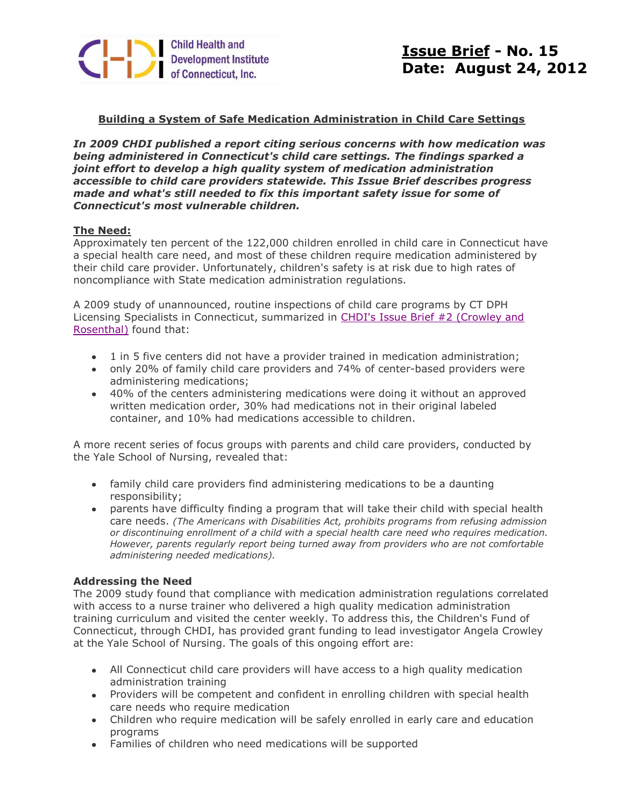

# **Building a System of Safe Medication Administration in Child Care Settings**

*In 2009 CHDI published a report citing serious concerns with how medication was being administered in Connecticut's child care settings. The findings sparked a joint effort to develop a high quality system of medication administration accessible to child care providers statewide. This Issue Brief describes progress made and what's still needed to fix this important safety issue for some of Connecticut's most vulnerable children.*

## **The Need:**

Approximately ten percent of the 122,000 children enrolled in child care in Connecticut have a special health care need, and most of these children require medication administered by their child care provider. Unfortunately, children's safety is at risk due to high rates of noncompliance with State medication administration regulations.

A 2009 study of unannounced, routine inspections of child care programs by CT DPH Licensing Specialists in Connecticut, summarized in [CHDI's Issue Brief #2 \(Crowley and](http://r20.rs6.net/tn.jsp?e=001nRE1jCveY94PmnwaVU8MfZX1PVbAA5CUu6LPAG2wC2NY3jIQqOVz5gFsz8YFUuvSlGS04PbfGlAIArSOys_CGwW5PAS-3U2_9ofmLdBpSqEQUZ1GYnnQJ_q_OU91K4dnih_5BxRzjn0=)  [Rosenthal\)](http://r20.rs6.net/tn.jsp?e=001nRE1jCveY94PmnwaVU8MfZX1PVbAA5CUu6LPAG2wC2NY3jIQqOVz5gFsz8YFUuvSlGS04PbfGlAIArSOys_CGwW5PAS-3U2_9ofmLdBpSqEQUZ1GYnnQJ_q_OU91K4dnih_5BxRzjn0=) found that:

- 1 in 5 five centers did not have a provider trained in medication administration;
- only 20% of family child care providers and 74% of center-based providers were administering medications;
- 40% of the centers administering medications were doing it without an approved written medication order, 30% had medications not in their original labeled container, and 10% had medications accessible to children.

A more recent series of focus groups with parents and child care providers, conducted by the Yale School of Nursing, revealed that:

- family child care providers find administering medications to be a daunting responsibility;
- parents have difficulty finding a program that will take their child with special health care needs. *(The Americans with Disabilities Act, prohibits programs from refusing admission or discontinuing enrollment of a child with a special health care need who requires medication. However, parents regularly report being turned away from providers who are not comfortable administering needed medications).*

## **Addressing the Need**

The 2009 study found that compliance with medication administration regulations correlated with access to a nurse trainer who delivered a high quality medication administration training curriculum and visited the center weekly. To address this, the Children's Fund of Connecticut, through CHDI, has provided grant funding to lead investigator Angela Crowley at the Yale School of Nursing. The goals of this ongoing effort are:

- All Connecticut child care providers will have access to a high quality medication administration training
- Providers will be competent and confident in enrolling children with special health care needs who require medication
- Children who require medication will be safely enrolled in early care and education programs
- Families of children who need medications will be supported